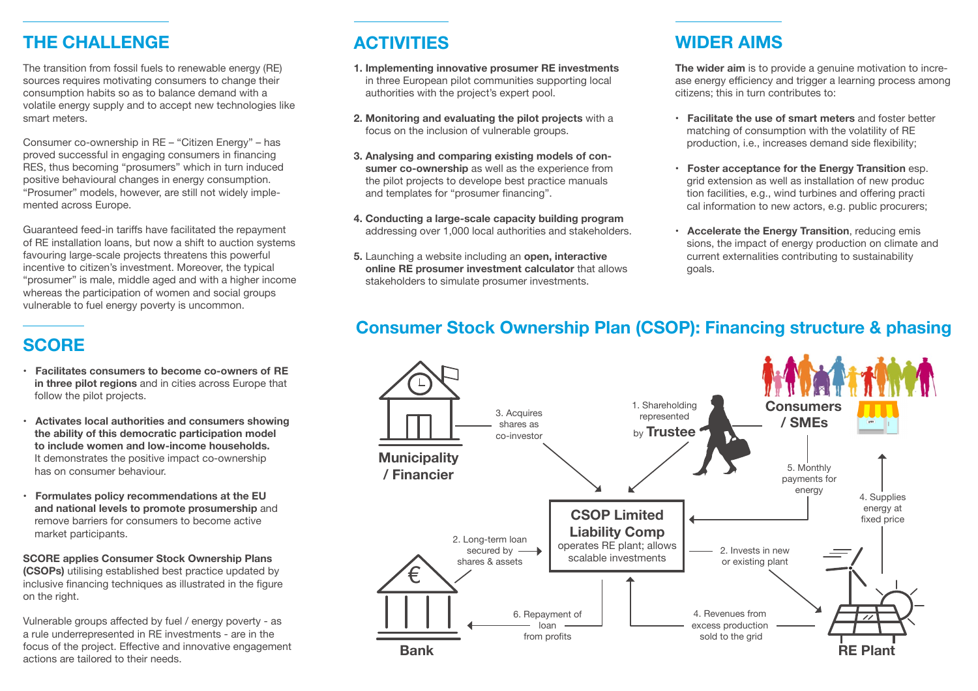# **THE CHALLENGE**

The transition from fossil fuels to renewable energy (RE) sources requires motivating consumers to change their consumption habits so as to balance demand with a volatile energy supply and to accept new technologies like smart meters.

Consumer co-ownership in RE – "Citizen Energy" – has proved successful in engaging consumers in financing RES, thus becoming "prosumers" which in turn induced positive behavioural changes in energy consumption. "Prosumer" models, however, are still not widely implemented across Europe.

Guaranteed feed-in tariffs have facilitated the repayment of RE installation loans, but now a shift to auction systems favouring large-scale projects threatens this powerful incentive to citizen's investment. Moreover, the typical "prosumer" is male, middle aged and with a higher income whereas the participation of women and social groups vulnerable to fuel energy poverty is uncommon.

# **SCORE**

- **Facilitates consumers to become co-owners of RE in three pilot regions** and in cities across Europe that follow the pilot projects.
- **Activates local authorities and consumers showing the ability of this democratic participation model to include women and low-income households.** It demonstrates the positive impact co-ownership has on consumer behaviour.
- **Formulates policy recommendations at the EU and national levels to promote prosumership** and remove barriers for consumers to become active market participants.

**SCORE applies Consumer Stock Ownership Plans (CSOPs)** utilising established best practice updated by inclusive financing techniques as illustrated in the figure on the right.

Vulnerable groups affected by fuel / energy poverty - as a rule underrepresented in RE investments - are in the focus of the project. Effective and innovative engagement actions are tailored to their needs.

- **1. Implementing innovative prosumer RE investments** in three European pilot communities supporting local authorities with the project's expert pool.
- **2. Monitoring and evaluating the pilot projects** with a focus on the inclusion of vulnerable groups.
- **3. Analysing and comparing existing models of con sumer co-ownership** as well as the experience from the pilot projects to develope best practice manuals and templates for "prosumer financing".
- **4. Conducting a large-scale capacity building program** addressing over 1,000 local authorities and stakeholders.
- **5.** Launching a website including an **open, interactive online RE prosumer investment calculator** that allows stakeholders to simulate prosumer investments.

#### **ACTIVITIES WIDER AIMS**

**The wider aim** is to provide a genuine motivation to increase energy efficiency and trigger a learning process among citizens; this in turn contributes to:

- **Facilitate the use of smart meters** and foster better matching of consumption with the volatility of RE production, i.e., increases demand side flexibility;
- **Foster acceptance for the Energy Transition** esp. grid extension as well as installation of new produc tion facilities, e.g., wind turbines and offering practi cal information to new actors, e.g. public procurers;
- **Accelerate the Energy Transition**, reducing emis sions, the impact of energy production on climate and current externalities contributing to sustainability goals.

# **Consumer Stock Ownership Plan (CSOP): Financing structure & phasing**